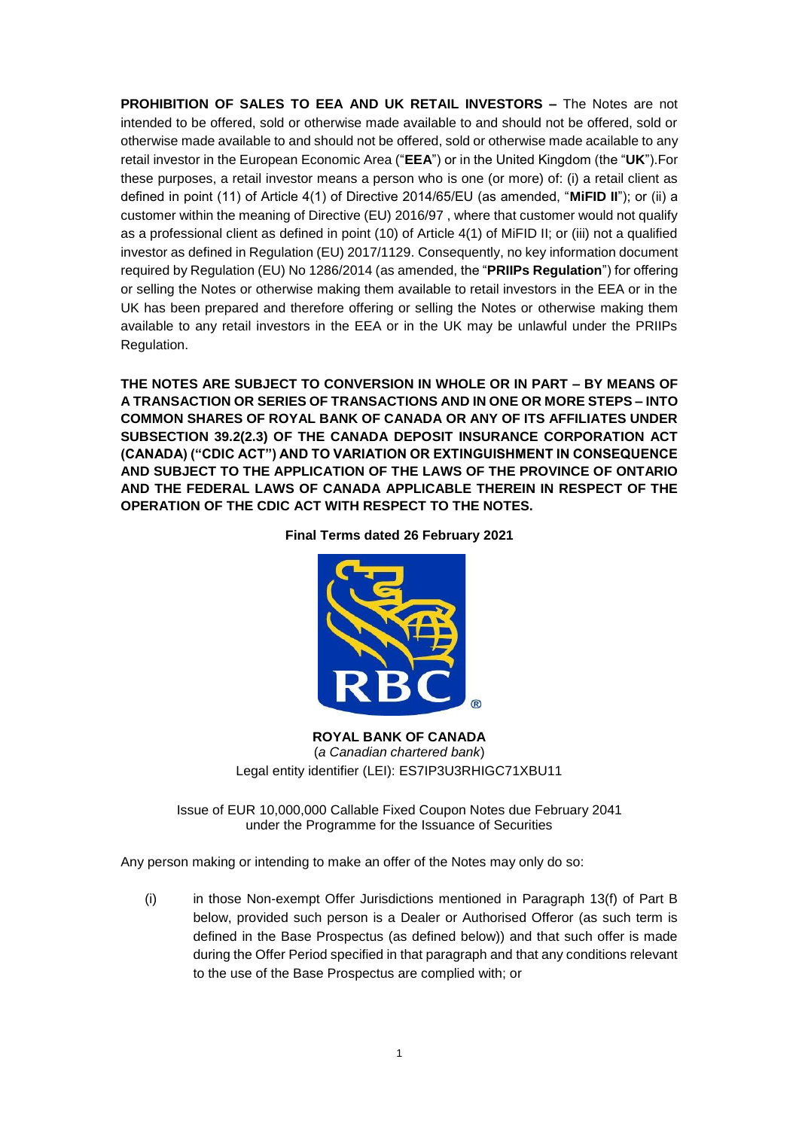**PROHIBITION OF SALES TO EEA AND UK RETAIL INVESTORS –** The Notes are not intended to be offered, sold or otherwise made available to and should not be offered, sold or otherwise made available to and should not be offered, sold or otherwise made acailable to any retail investor in the European Economic Area ("**EEA**") or in the United Kingdom (the "**UK**").For these purposes, a retail investor means a person who is one (or more) of: (i) a retail client as defined in point (11) of Article 4(1) of Directive 2014/65/EU (as amended, "**MiFID II**"); or (ii) a customer within the meaning of Directive (EU) 2016/97 , where that customer would not qualify as a professional client as defined in point (10) of Article 4(1) of MiFID II; or (iii) not a qualified investor as defined in Regulation (EU) 2017/1129. Consequently, no key information document required by Regulation (EU) No 1286/2014 (as amended, the "**PRIIPs Regulation**") for offering or selling the Notes or otherwise making them available to retail investors in the EEA or in the UK has been prepared and therefore offering or selling the Notes or otherwise making them available to any retail investors in the EEA or in the UK may be unlawful under the PRIIPs Regulation.

**THE NOTES ARE SUBJECT TO CONVERSION IN WHOLE OR IN PART – BY MEANS OF A TRANSACTION OR SERIES OF TRANSACTIONS AND IN ONE OR MORE STEPS – INTO COMMON SHARES OF ROYAL BANK OF CANADA OR ANY OF ITS AFFILIATES UNDER SUBSECTION 39.2(2.3) OF THE CANADA DEPOSIT INSURANCE CORPORATION ACT (CANADA) ("CDIC ACT") AND TO VARIATION OR EXTINGUISHMENT IN CONSEQUENCE AND SUBJECT TO THE APPLICATION OF THE LAWS OF THE PROVINCE OF ONTARIO AND THE FEDERAL LAWS OF CANADA APPLICABLE THEREIN IN RESPECT OF THE OPERATION OF THE CDIC ACT WITH RESPECT TO THE NOTES.**

**Final Terms dated 26 February 2021**



**ROYAL BANK OF CANADA** (*a Canadian chartered bank*) Legal entity identifier (LEI): ES7IP3U3RHIGC71XBU11

Issue of EUR 10,000,000 Callable Fixed Coupon Notes due February 2041 under the Programme for the Issuance of Securities

Any person making or intending to make an offer of the Notes may only do so:

(i) in those Non-exempt Offer Jurisdictions mentioned in Paragraph 13(f) of Part B below, provided such person is a Dealer or Authorised Offeror (as such term is defined in the Base Prospectus (as defined below)) and that such offer is made during the Offer Period specified in that paragraph and that any conditions relevant to the use of the Base Prospectus are complied with; or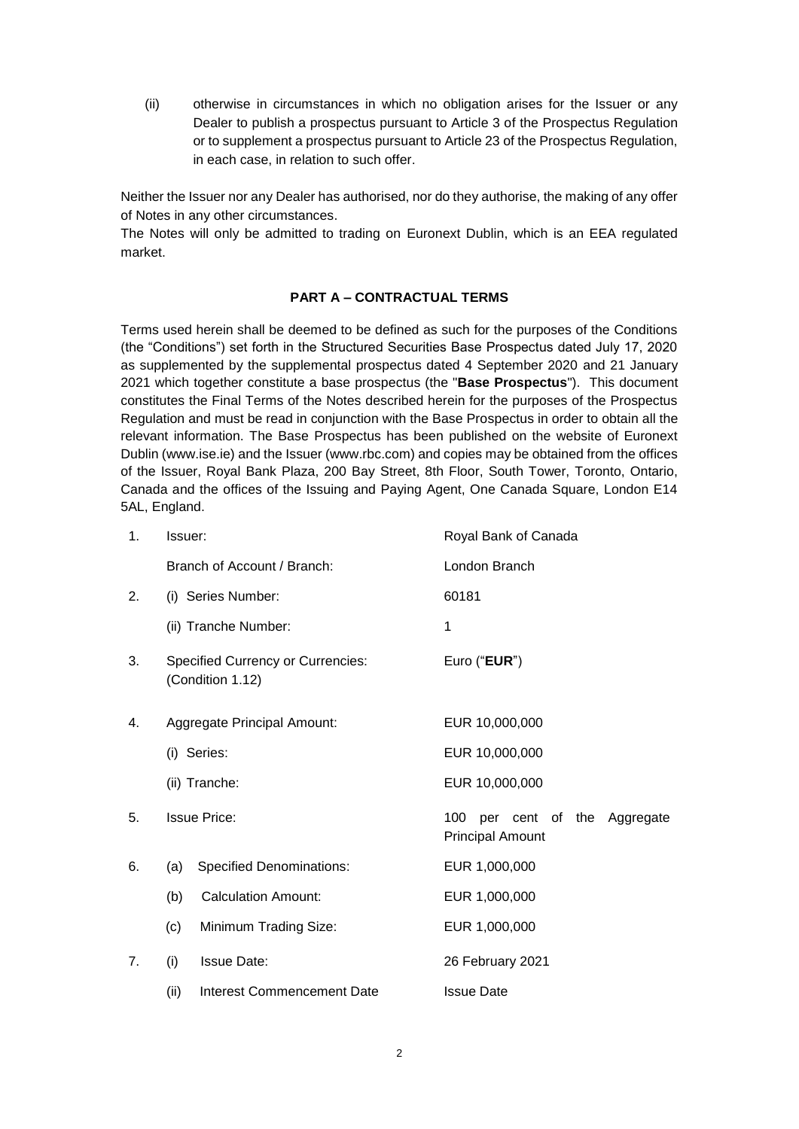(ii) otherwise in circumstances in which no obligation arises for the Issuer or any Dealer to publish a prospectus pursuant to Article 3 of the Prospectus Regulation or to supplement a prospectus pursuant to Article 23 of the Prospectus Regulation, in each case, in relation to such offer.

Neither the Issuer nor any Dealer has authorised, nor do they authorise, the making of any offer of Notes in any other circumstances.

The Notes will only be admitted to trading on Euronext Dublin, which is an EEA regulated market.

## **PART A – CONTRACTUAL TERMS**

Terms used herein shall be deemed to be defined as such for the purposes of the Conditions (the "Conditions") set forth in the Structured Securities Base Prospectus dated July 17, 2020 as supplemented by the supplemental prospectus dated 4 September 2020 and 21 January 2021 which together constitute a base prospectus (the "**Base Prospectus**"). This document constitutes the Final Terms of the Notes described herein for the purposes of the Prospectus Regulation and must be read in conjunction with the Base Prospectus in order to obtain all the relevant information. The Base Prospectus has been published on the website of Euronext Dublin (www.ise.ie) and the Issuer (www.rbc.com) and copies may be obtained from the offices of the Issuer, Royal Bank Plaza, 200 Bay Street, 8th Floor, South Tower, Toronto, Ontario, Canada and the offices of the Issuing and Paying Agent, One Canada Square, London E14 5AL, England.

| 1. | Issuer:                                                      |                                   | Royal Bank of Canada                                     |  |  |
|----|--------------------------------------------------------------|-----------------------------------|----------------------------------------------------------|--|--|
|    |                                                              | Branch of Account / Branch:       | London Branch                                            |  |  |
| 2. |                                                              | (i) Series Number:                | 60181                                                    |  |  |
|    | (ii) Tranche Number:                                         |                                   | 1                                                        |  |  |
| 3. | <b>Specified Currency or Currencies:</b><br>(Condition 1.12) |                                   | Euro ("EUR")                                             |  |  |
| 4. |                                                              | Aggregate Principal Amount:       | EUR 10,000,000                                           |  |  |
|    | (i) Series:                                                  |                                   | EUR 10,000,000                                           |  |  |
|    | (ii) Tranche:                                                |                                   | EUR 10,000,000                                           |  |  |
| 5. | <b>Issue Price:</b>                                          |                                   | 100 per cent of the Aggregate<br><b>Principal Amount</b> |  |  |
| 6. | (a)                                                          | <b>Specified Denominations:</b>   | EUR 1,000,000                                            |  |  |
|    | (b)                                                          | <b>Calculation Amount:</b>        | EUR 1,000,000                                            |  |  |
|    | (c)                                                          | Minimum Trading Size:             | EUR 1,000,000                                            |  |  |
| 7. | (i)                                                          | <b>Issue Date:</b>                | 26 February 2021                                         |  |  |
|    | (ii)                                                         | <b>Interest Commencement Date</b> | <b>Issue Date</b>                                        |  |  |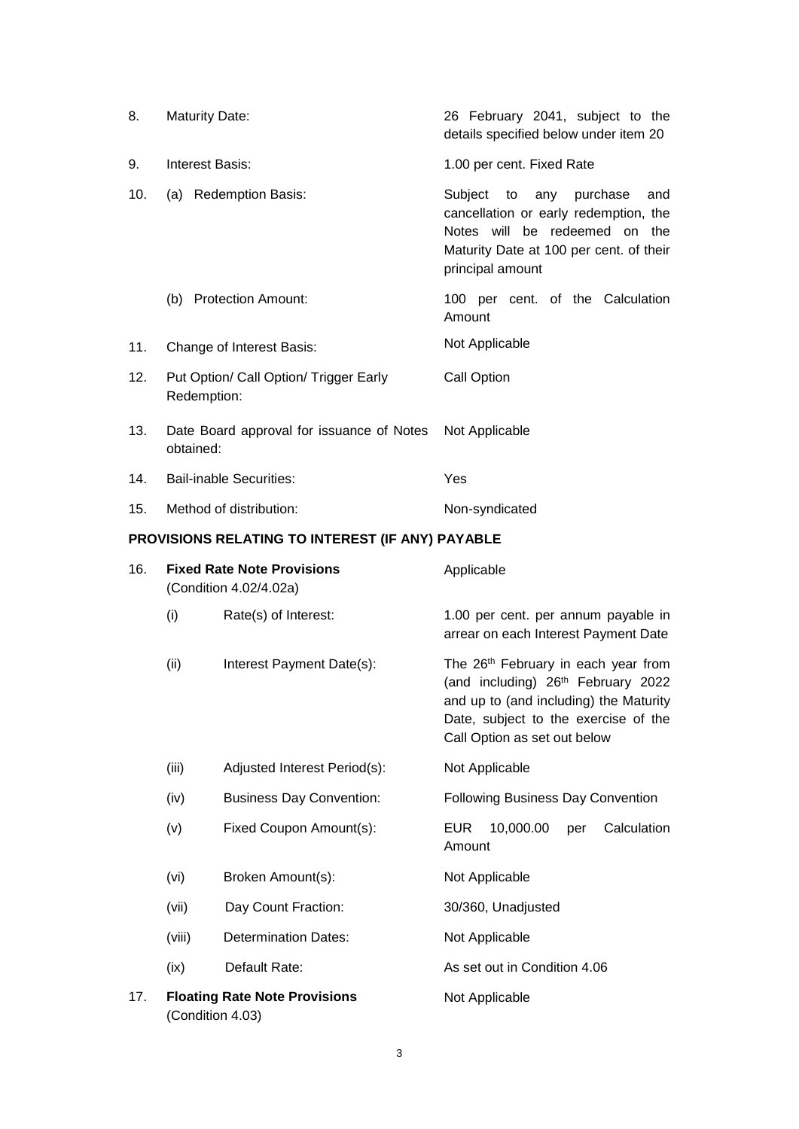| 8.                                               | <b>Maturity Date:</b>                                       |                                 | 26 February 2041, subject to the<br>details specified below under item 20                                                                                                                               |
|--------------------------------------------------|-------------------------------------------------------------|---------------------------------|---------------------------------------------------------------------------------------------------------------------------------------------------------------------------------------------------------|
| 9.                                               | <b>Interest Basis:</b>                                      |                                 | 1.00 per cent. Fixed Rate                                                                                                                                                                               |
| 10.                                              |                                                             | (a) Redemption Basis:           | Subject to<br>purchase<br>any<br>and<br>cancellation or early redemption, the<br>Notes will be redeemed on the<br>Maturity Date at 100 per cent. of their<br>principal amount                           |
|                                                  |                                                             | (b) Protection Amount:          | 100 per cent. of the Calculation<br>Amount                                                                                                                                                              |
| 11.                                              | Change of Interest Basis:                                   |                                 | Not Applicable                                                                                                                                                                                          |
| 12.                                              | Put Option/ Call Option/ Trigger Early<br>Redemption:       |                                 | Call Option                                                                                                                                                                                             |
| 13.                                              | Date Board approval for issuance of Notes<br>obtained:      |                                 | Not Applicable                                                                                                                                                                                          |
| 14.                                              | <b>Bail-inable Securities:</b>                              |                                 | Yes                                                                                                                                                                                                     |
| 15.                                              | Method of distribution:                                     |                                 | Non-syndicated                                                                                                                                                                                          |
| PROVISIONS RELATING TO INTEREST (IF ANY) PAYABLE |                                                             |                                 |                                                                                                                                                                                                         |
| 16.                                              | <b>Fixed Rate Note Provisions</b><br>(Condition 4.02/4.02a) |                                 | Applicable                                                                                                                                                                                              |
|                                                  | (i)                                                         | Rate(s) of Interest:            | 1.00 per cent. per annum payable in<br>arrear on each Interest Payment Date                                                                                                                             |
|                                                  | (ii)                                                        | Interest Payment Date(s):       | The 26 <sup>th</sup> February in each year from<br>(and including) 26th February 2022<br>and up to (and including) the Maturity<br>Date, subject to the exercise of the<br>Call Option as set out below |
|                                                  | (iii)                                                       | Adjusted Interest Period(s):    | Not Applicable                                                                                                                                                                                          |
|                                                  | (iv)                                                        | <b>Business Day Convention:</b> | <b>Following Business Day Convention</b>                                                                                                                                                                |
|                                                  | (v)                                                         | Fixed Coupon Amount(s):         | <b>EUR</b><br>10,000.00<br>Calculation<br>per<br>Amount                                                                                                                                                 |
|                                                  | (vi)                                                        | Broken Amount(s):               | Not Applicable                                                                                                                                                                                          |
|                                                  | (vii)                                                       | Day Count Fraction:             | 30/360, Unadjusted                                                                                                                                                                                      |
|                                                  | (viii)                                                      | <b>Determination Dates:</b>     | Not Applicable                                                                                                                                                                                          |
|                                                  | (ix)                                                        | Default Rate:                   | As set out in Condition 4.06                                                                                                                                                                            |
| 17.                                              | <b>Floating Rate Note Provisions</b><br>(Condition 4.03)    |                                 | Not Applicable                                                                                                                                                                                          |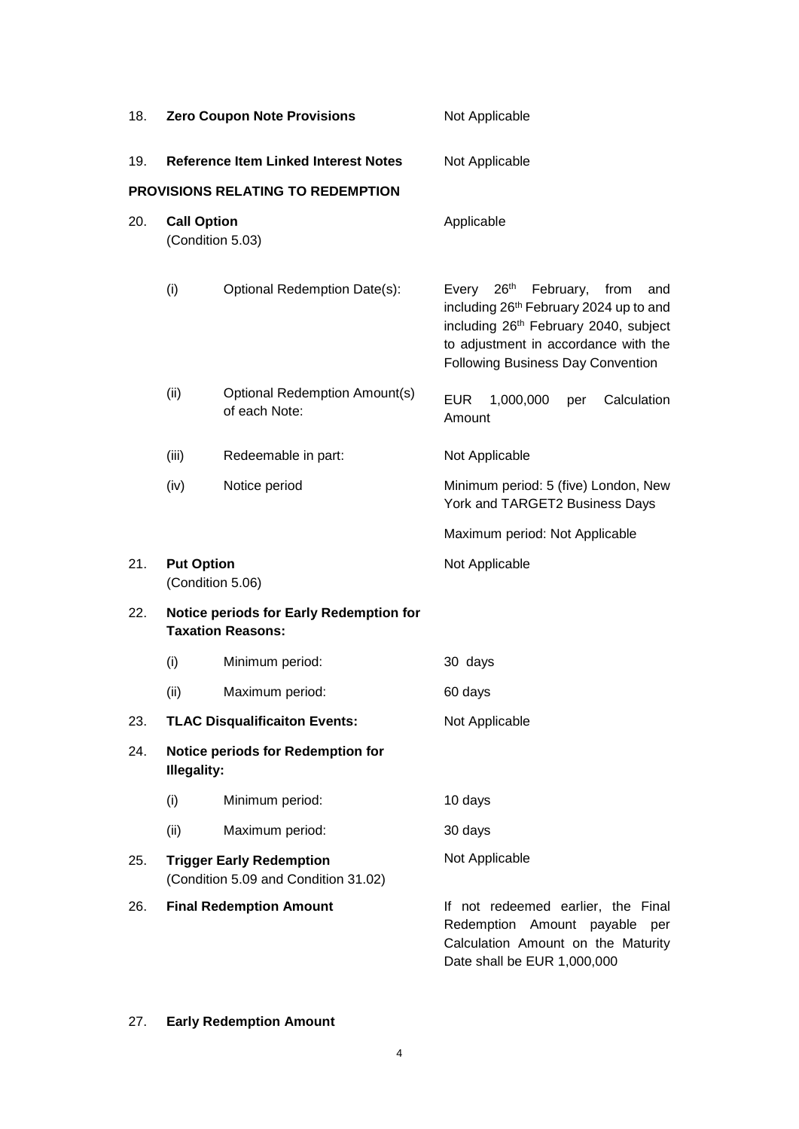| 18. | <b>Zero Coupon Note Provisions</b>                                      |                                                       | Not Applicable                                                                                                                                                                                                                        |  |
|-----|-------------------------------------------------------------------------|-------------------------------------------------------|---------------------------------------------------------------------------------------------------------------------------------------------------------------------------------------------------------------------------------------|--|
| 19. | <b>Reference Item Linked Interest Notes</b>                             |                                                       | Not Applicable                                                                                                                                                                                                                        |  |
|     |                                                                         | PROVISIONS RELATING TO REDEMPTION                     |                                                                                                                                                                                                                                       |  |
| 20. | <b>Call Option</b><br>(Condition 5.03)                                  |                                                       | Applicable                                                                                                                                                                                                                            |  |
|     | (i)                                                                     | Optional Redemption Date(s):                          | 26 <sup>th</sup><br>February, from<br>Every<br>and<br>including 26 <sup>th</sup> February 2024 up to and<br>including 26th February 2040, subject<br>to adjustment in accordance with the<br><b>Following Business Day Convention</b> |  |
|     | (ii)                                                                    | <b>Optional Redemption Amount(s)</b><br>of each Note: | <b>EUR</b><br>1,000,000<br>Calculation<br>per<br>Amount                                                                                                                                                                               |  |
|     | (iii)                                                                   | Redeemable in part:                                   | Not Applicable                                                                                                                                                                                                                        |  |
|     | (iv)                                                                    | Notice period                                         | Minimum period: 5 (five) London, New<br>York and TARGET2 Business Days                                                                                                                                                                |  |
|     |                                                                         |                                                       | Maximum period: Not Applicable                                                                                                                                                                                                        |  |
| 21. | <b>Put Option</b>                                                       | (Condition 5.06)                                      | Not Applicable                                                                                                                                                                                                                        |  |
| 22. | Notice periods for Early Redemption for<br><b>Taxation Reasons:</b>     |                                                       |                                                                                                                                                                                                                                       |  |
|     | (i)                                                                     | Minimum period:                                       | 30 days                                                                                                                                                                                                                               |  |
|     | (ii)                                                                    | Maximum period:                                       | 60 days                                                                                                                                                                                                                               |  |
| 23. |                                                                         | <b>TLAC Disqualificaiton Events:</b>                  | Not Applicable                                                                                                                                                                                                                        |  |
| 24. | <b>Notice periods for Redemption for</b><br><b>Illegality:</b>          |                                                       |                                                                                                                                                                                                                                       |  |
|     | (i)                                                                     | Minimum period:                                       | 10 days                                                                                                                                                                                                                               |  |
|     | (ii)                                                                    | Maximum period:                                       | 30 days                                                                                                                                                                                                                               |  |
| 25. | <b>Trigger Early Redemption</b><br>(Condition 5.09 and Condition 31.02) |                                                       | Not Applicable                                                                                                                                                                                                                        |  |
| 26. |                                                                         | <b>Final Redemption Amount</b>                        | If not redeemed earlier, the Final<br>Redemption Amount payable<br>per<br>Calculation Amount on the Maturity<br>Date shall be EUR 1,000,000                                                                                           |  |

# 27. **Early Redemption Amount**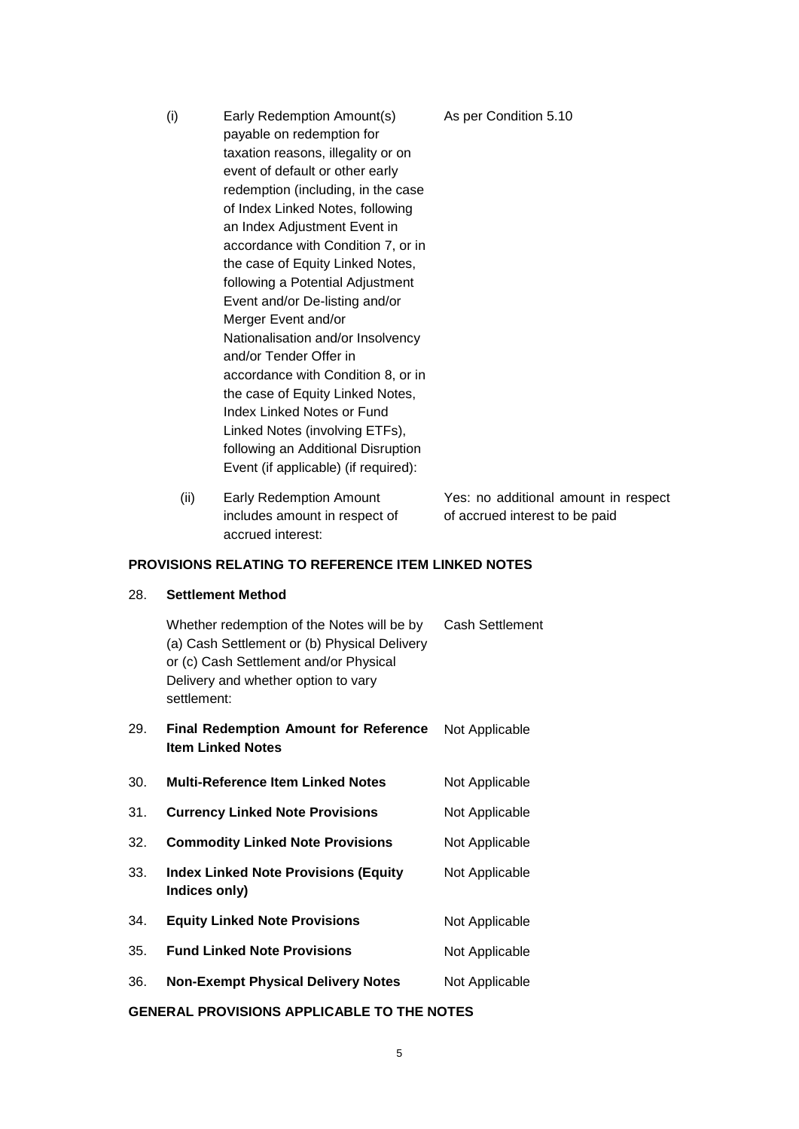- (i) Early Redemption Amount(s) payable on redemption for taxation reasons, illegality or on event of default or other early redemption (including, in the case of Index Linked Notes, following an Index Adjustment Event in accordance with Condition 7, or in the case of Equity Linked Notes, following a Potential Adjustment Event and/or De-listing and/or Merger Event and/or Nationalisation and/or Insolvency and/or Tender Offer in accordance with Condition 8, or in the case of Equity Linked Notes, Index Linked Notes or Fund Linked Notes (involving ETFs), following an Additional Disruption Event (if applicable) (if required): As per Condition 5.10
	- (ii) Early Redemption Amount includes amount in respect of accrued interest: Yes: no additional amount in respect of accrued interest to be paid

### **PROVISIONS RELATING TO REFERENCE ITEM LINKED NOTES**

#### 28. **Settlement Method**

Whether redemption of the Notes will be by (a) Cash Settlement or (b) Physical Delivery or (c) Cash Settlement and/or Physical Delivery and whether option to vary settlement: Cash Settlement

- 29. **Final Redemption Amount for Reference Item Linked Notes**  Not Applicable
- 30. **Multi-Reference Item Linked Notes** Not Applicable
- 31. **Currency Linked Note Provisions** Not Applicable
- 32. **Commodity Linked Note Provisions** Not Applicable
- 33. **Index Linked Note Provisions (Equity Indices only)** Not Applicable
- 34. **Equity Linked Note Provisions** Not Applicable
- 35. **Fund Linked Note Provisions** Not Applicable
- 36. **Non-Exempt Physical Delivery Notes** Not Applicable

#### **GENERAL PROVISIONS APPLICABLE TO THE NOTES**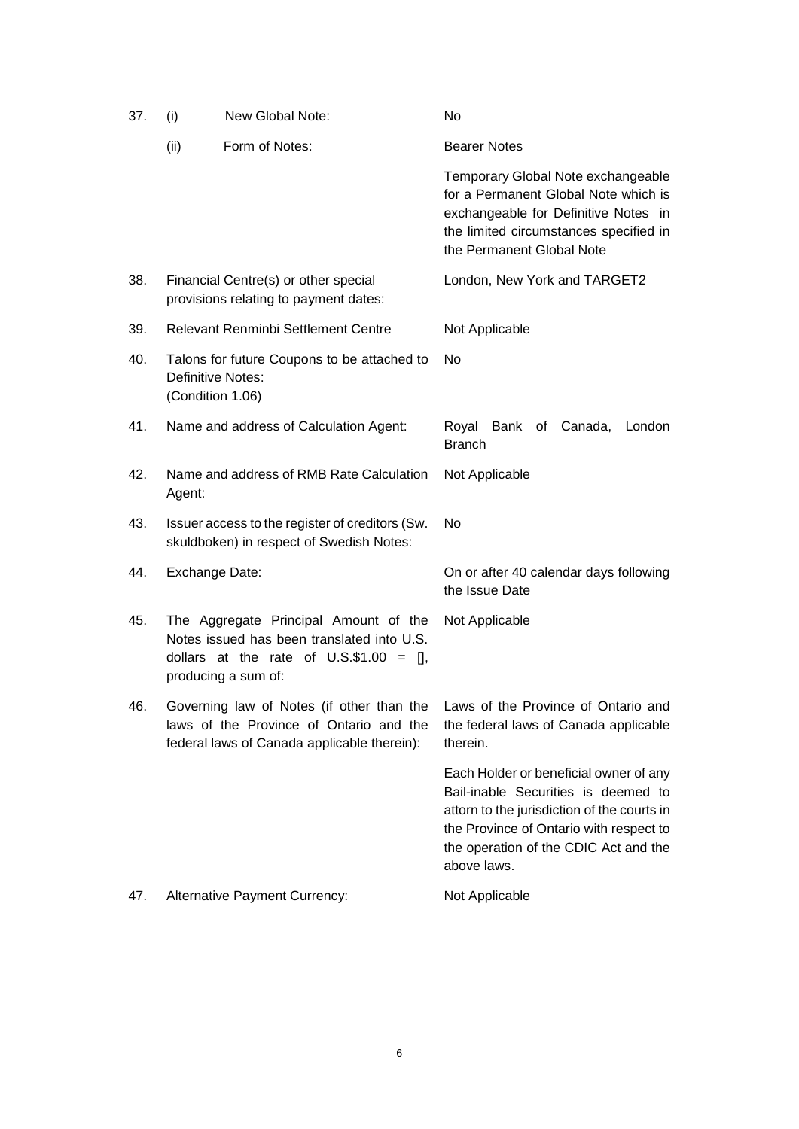| 37. | (i)                                                                                  | New Global Note:                                                                                                                                          | No                                                                                                                                                                                                                              |
|-----|--------------------------------------------------------------------------------------|-----------------------------------------------------------------------------------------------------------------------------------------------------------|---------------------------------------------------------------------------------------------------------------------------------------------------------------------------------------------------------------------------------|
|     | (ii)                                                                                 | Form of Notes:                                                                                                                                            | <b>Bearer Notes</b>                                                                                                                                                                                                             |
|     |                                                                                      |                                                                                                                                                           | Temporary Global Note exchangeable<br>for a Permanent Global Note which is<br>exchangeable for Definitive Notes in<br>the limited circumstances specified in<br>the Permanent Global Note                                       |
| 38. |                                                                                      | Financial Centre(s) or other special<br>provisions relating to payment dates:                                                                             | London, New York and TARGET2                                                                                                                                                                                                    |
| 39. | Relevant Renminbi Settlement Centre                                                  |                                                                                                                                                           | Not Applicable                                                                                                                                                                                                                  |
| 40. | Talons for future Coupons to be attached to<br>Definitive Notes:<br>(Condition 1.06) |                                                                                                                                                           | No                                                                                                                                                                                                                              |
| 41. |                                                                                      | Name and address of Calculation Agent:                                                                                                                    | Royal Bank of Canada,<br>London<br><b>Branch</b>                                                                                                                                                                                |
| 42. | Agent:                                                                               | Name and address of RMB Rate Calculation                                                                                                                  | Not Applicable                                                                                                                                                                                                                  |
| 43. |                                                                                      | Issuer access to the register of creditors (Sw.<br>skuldboken) in respect of Swedish Notes:                                                               | No                                                                                                                                                                                                                              |
| 44. | Exchange Date:                                                                       |                                                                                                                                                           | On or after 40 calendar days following<br>the Issue Date                                                                                                                                                                        |
| 45. |                                                                                      | The Aggregate Principal Amount of the<br>Notes issued has been translated into U.S.<br>dollars at the rate of $U.S.\$ \$1.00 = [],<br>producing a sum of: | Not Applicable                                                                                                                                                                                                                  |
| 46. |                                                                                      | laws of the Province of Ontario and the<br>federal laws of Canada applicable therein):                                                                    | Governing law of Notes (if other than the Laws of the Province of Ontario and<br>the federal laws of Canada applicable<br>therein.                                                                                              |
|     |                                                                                      |                                                                                                                                                           | Each Holder or beneficial owner of any<br>Bail-inable Securities is deemed to<br>attorn to the jurisdiction of the courts in<br>the Province of Ontario with respect to<br>the operation of the CDIC Act and the<br>above laws. |
| 47. |                                                                                      | <b>Alternative Payment Currency:</b>                                                                                                                      | Not Applicable                                                                                                                                                                                                                  |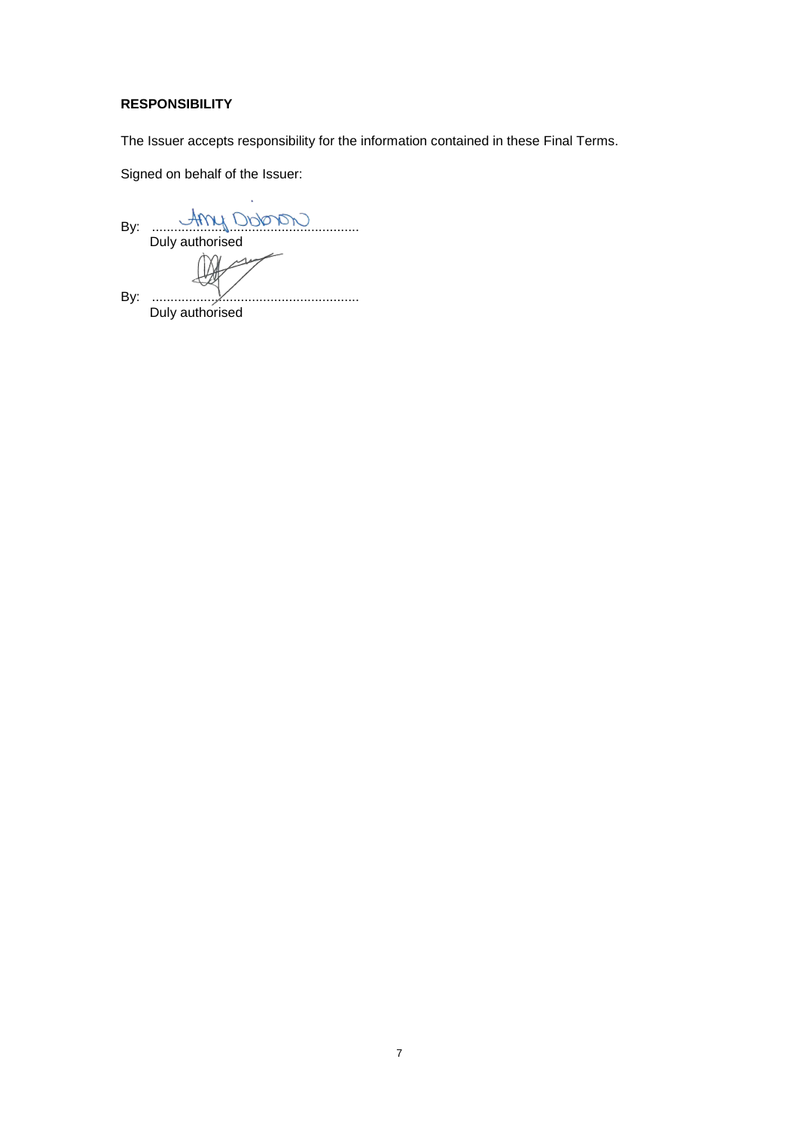## **RESPONSIBILITY**

The Issuer accepts responsibility for the information contained in these Final Terms.

Signed on behalf of the Issuer:

By: ........................................................ Duly authorised ملت By: ........................................................ Duly authorised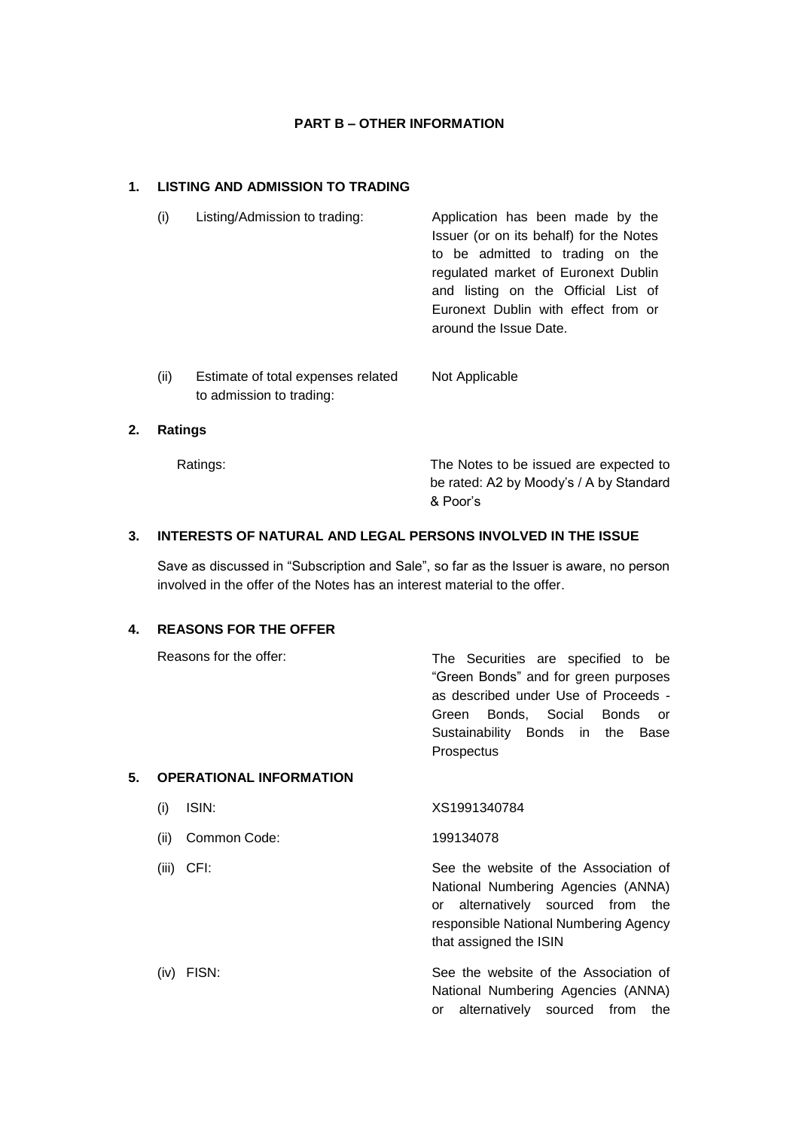### **PART B – OTHER INFORMATION**

# **1. LISTING AND ADMISSION TO TRADING**

| (i) | Listing/Admission to trading: | Application has been made by the<br>Issuer (or on its behalf) for the Notes |
|-----|-------------------------------|-----------------------------------------------------------------------------|
|     |                               | to be admitted to trading on the                                            |
|     |                               | regulated market of Euronext Dublin                                         |
|     |                               | and listing on the Official List of                                         |
|     |                               | Euronext Dublin with effect from or                                         |
|     |                               | around the Issue Date.                                                      |
|     |                               |                                                                             |
|     |                               |                                                                             |

(ii) Estimate of total expenses related to admission to trading: Not Applicable

#### **2. Ratings**

Ratings: The Notes to be issued are expected to be rated: A2 by Moody's / A by Standard & Poor's

# **3. INTERESTS OF NATURAL AND LEGAL PERSONS INVOLVED IN THE ISSUE**

Save as discussed in "Subscription and Sale", so far as the Issuer is aware, no person involved in the offer of the Notes has an interest material to the offer.

#### **4. REASONS FOR THE OFFER**

|    | Reasons for the offer:         | The Securities are specified to be<br>"Green Bonds" and for green purposes<br>as described under Use of Proceeds -<br>Bonds, Social Bonds<br>Green<br>or<br>Sustainability Bonds in the Base<br>Prospectus |
|----|--------------------------------|------------------------------------------------------------------------------------------------------------------------------------------------------------------------------------------------------------|
| 5. | <b>OPERATIONAL INFORMATION</b> |                                                                                                                                                                                                            |
|    | ISIN:<br>(i)                   | XS1991340784                                                                                                                                                                                               |
|    | Common Code:<br>(ii)           | 199134078                                                                                                                                                                                                  |
|    | CFI:<br>(iii)                  | See the website of the Association of<br>National Numbering Agencies (ANNA)                                                                                                                                |

National Numbering Agencies (ANNA) or alternatively sourced from the responsible National Numbering Agency that assigned the ISIN

(iv) FISN: See the website of the Association of National Numbering Agencies (ANNA) or alternatively sourced from the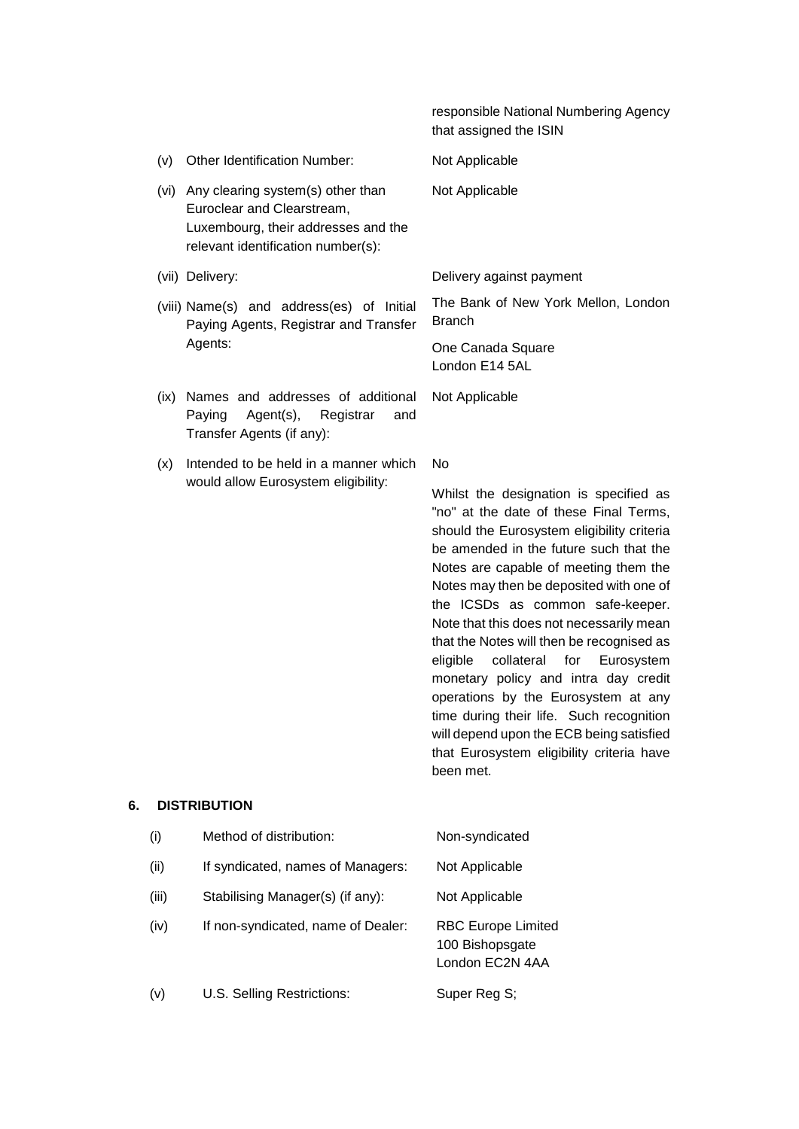responsible National Numbering Agency that assigned the ISIN

- (v) Other Identification Number: Not Applicable (vi) Any clearing system(s) other than Euroclear and Clearstream, Luxembourg, their addresses and the relevant identification number(s): Not Applicable (vii) Delivery: Delivery against payment (viii) Name(s) and address(es) of Initial Paying Agents, Registrar and Transfer Agents: The Bank of New York Mellon, London **Branch** One Canada Square London E14 5AL (ix) Names and addresses of additional Paying Agent(s), Registrar and Transfer Agents (if any): Not Applicable
- (x) Intended to be held in a manner which would allow Eurosystem eligibility: No

Whilst the designation is specified as "no" at the date of these Final Terms, should the Eurosystem eligibility criteria be amended in the future such that the Notes are capable of meeting them the Notes may then be deposited with one of the ICSDs as common safe-keeper. Note that this does not necessarily mean that the Notes will then be recognised as eligible collateral for Eurosystem monetary policy and intra day credit operations by the Eurosystem at any time during their life. Such recognition will depend upon the ECB being satisfied that Eurosystem eligibility criteria have been met.

#### **6. DISTRIBUTION**

| (i)   | Method of distribution:            | Non-syndicated                                                  |
|-------|------------------------------------|-----------------------------------------------------------------|
| (ii)  | If syndicated, names of Managers:  | Not Applicable                                                  |
| (iii) | Stabilising Manager(s) (if any):   | Not Applicable                                                  |
| (iv)  | If non-syndicated, name of Dealer: | <b>RBC Europe Limited</b><br>100 Bishopsgate<br>London EC2N 4AA |
| (v)   | U.S. Selling Restrictions:         | Super Reg S;                                                    |